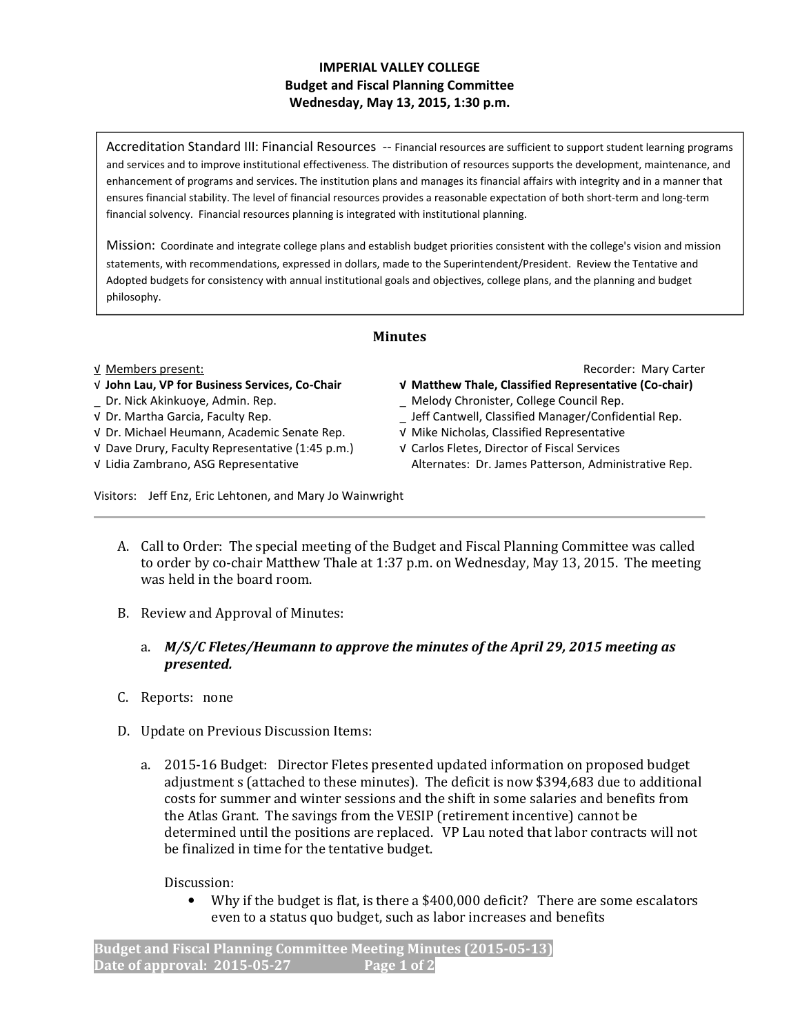## IMPERIAL VALLEY COLLEGE Budget and Fiscal Planning Committee Wednesday, May 13, 2015, 1:30 p.m.

Accreditation Standard III: Financial Resources -- Financial resources are sufficient to support student learning programs and services and to improve institutional effectiveness. The distribution of resources supports the development, maintenance, and enhancement of programs and services. The institution plans and manages its financial affairs with integrity and in a manner that ensures financial stability. The level of financial resources provides a reasonable expectation of both short-term and long-term financial solvency. Financial resources planning is integrated with institutional planning.

Mission: Coordinate and integrate college plans and establish budget priorities consistent with the college's vision and mission statements, with recommendations, expressed in dollars, made to the Superintendent/President. Review the Tentative and Adopted budgets for consistency with annual institutional goals and objectives, college plans, and the planning and budget philosophy.

## Minutes

- 
- 

√ Dr. Michael Heumann, Academic Senate Rep. √ Mike Nicholas, Classified Representative

√ Dave Drury, Faculty Representative (1:45 p.m.) √ Carlos Fletes, Director of Fiscal Services

√ Members present: Recorder: Mary Carter

- √ John Lau, VP for Business Services, Co-Chair √ Matthew Thale, Classified Representative (Co-chair)
- \_ Dr. Nick Akinkuoye, Admin. Rep. \_ Melody Chronister, College Council Rep.
- √ Dr. Martha Garcia, Faculty Rep. \_ Jeff Cantwell, Classified Manager/Confidential Rep.
	-
- √ Lidia Zambrano, ASG Representative Alternates: Dr. James Patterson, Administrative Rep.

Visitors: Jeff Enz, Eric Lehtonen, and Mary Jo Wainwright

- A. Call to Order: The special meeting of the Budget and Fiscal Planning Committee was called to order by co-chair Matthew Thale at 1:37 p.m. on Wednesday, May 13, 2015. The meeting was held in the board room.
- B. Review and Approval of Minutes:
	- a. M/S/C Fletes/Heumann to approve the minutes of the April 29, 2015 meeting as presented.
- C. Reports: none
- D. Update on Previous Discussion Items:
	- a. 2015-16 Budget: Director Fletes presented updated information on proposed budget adjustment s (attached to these minutes). The deficit is now \$394,683 due to additional costs for summer and winter sessions and the shift in some salaries and benefits from the Atlas Grant. The savings from the VESIP (retirement incentive) cannot be determined until the positions are replaced. VP Lau noted that labor contracts will not be finalized in time for the tentative budget.

Discussion:

• Why if the budget is flat, is there a \$400,000 deficit? There are some escalators even to a status quo budget, such as labor increases and benefits